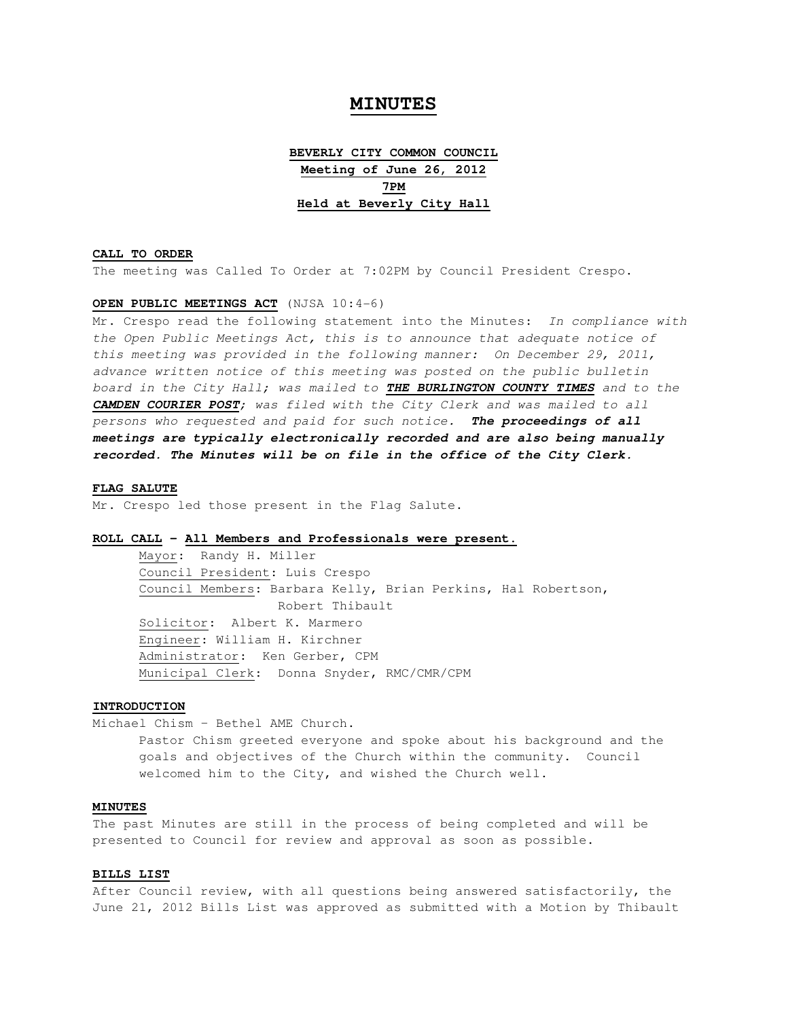# **MINUTES**

**BEVERLY CITY COMMON COUNCIL Meeting of June 26, 2012 7PM Held at Beverly City Hall**

#### **CALL TO ORDER**

The meeting was Called To Order at 7:02PM by Council President Crespo.

## **OPEN PUBLIC MEETINGS ACT** (NJSA 10:4-6)

Mr. Crespo read the following statement into the Minutes: In compliance with the Open Public Meetings Act, this is to announce that adequate notice of this meeting was provided in the following manner: On December 29, 2011, advance written notice of this meeting was posted on the public bulletin board in the City Hall; was mailed to **THE BURLINGTON COUNTY TIMES** and to the **CAMDEN COURIER POST**; was filed with the City Clerk and was mailed to all persons who requested and paid for such notice. **The proceedings of all meetings are typically electronically recorded and are also being manually recorded. The Minutes will be on file in the office of the City Clerk.** 

#### **FLAG SALUTE**

Mr. Crespo led those present in the Flag Salute.

## **ROLL CALL - All Members and Professionals were present.**

 Mayor: Randy H. Miller Council President: Luis Crespo Council Members: Barbara Kelly, Brian Perkins, Hal Robertson, Robert Thibault Solicitor: Albert K. Marmero Engineer: William H. Kirchner Administrator: Ken Gerber, CPM Municipal Clerk: Donna Snyder, RMC/CMR/CPM

## **INTRODUCTION**

Michael Chism – Bethel AME Church.

 Pastor Chism greeted everyone and spoke about his background and the goals and objectives of the Church within the community. Council welcomed him to the City, and wished the Church well.

## **MINUTES**

The past Minutes are still in the process of being completed and will be presented to Council for review and approval as soon as possible.

## **BILLS LIST**

After Council review, with all questions being answered satisfactorily, the June 21, 2012 Bills List was approved as submitted with a Motion by Thibault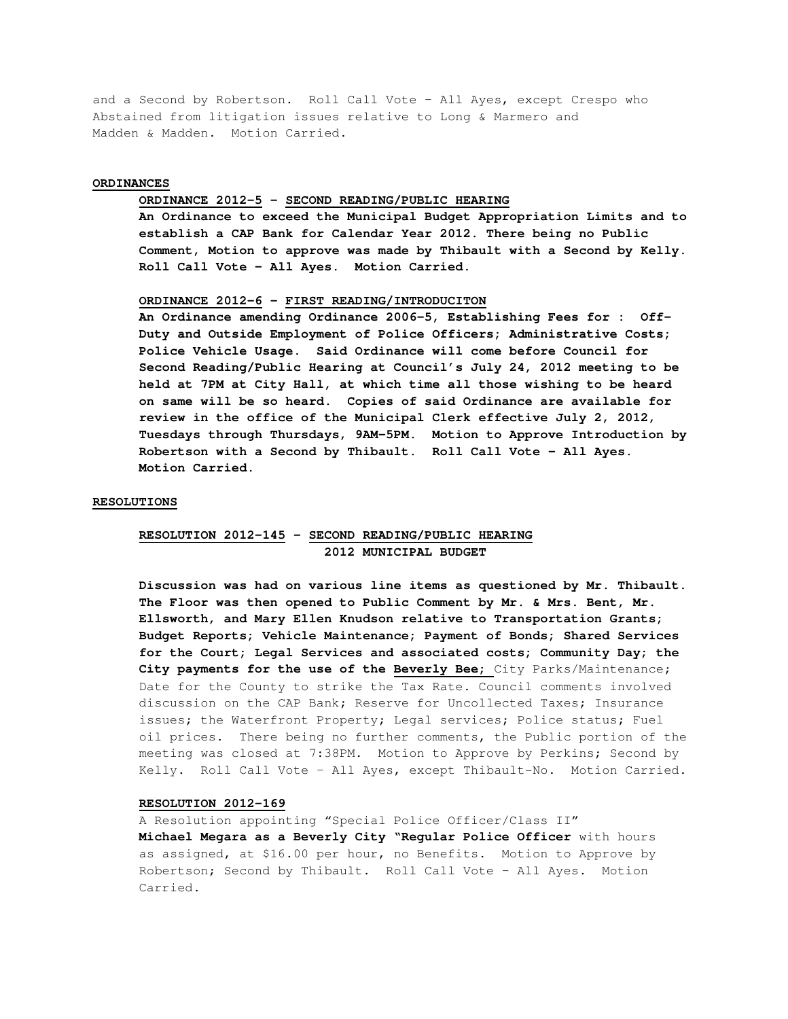and a Second by Robertson. Roll Call Vote – All Ayes, except Crespo who Abstained from litigation issues relative to Long & Marmero and Madden & Madden. Motion Carried.

### **ORDINANCES**

## **ORDINANCE 2012-5 – SECOND READING/PUBLIC HEARING**

**An Ordinance to exceed the Municipal Budget Appropriation Limits and to establish a CAP Bank for Calendar Year 2012. There being no Public Comment, Motion to approve was made by Thibault with a Second by Kelly. Roll Call Vote – All Ayes. Motion Carried.** 

#### **ORDINANCE 2012-6 – FIRST READING/INTRODUCITON**

 **An Ordinance amending Ordinance 2006-5, Establishing Fees for : Off- Duty and Outside Employment of Police Officers; Administrative Costs; Police Vehicle Usage. Said Ordinance will come before Council for Second Reading/Public Hearing at Council's July 24, 2012 meeting to be held at 7PM at City Hall, at which time all those wishing to be heard on same will be so heard. Copies of said Ordinance are available for review in the office of the Municipal Clerk effective July 2, 2012, Tuesdays through Thursdays, 9AM-5PM. Motion to Approve Introduction by Robertson with a Second by Thibault. Roll Call Vote – All Ayes. Motion Carried.** 

#### **RESOLUTIONS**

## **RESOLUTION 2012-145 – SECOND READING/PUBLIC HEARING 2012 MUNICIPAL BUDGET**

 **Discussion was had on various line items as questioned by Mr. Thibault. The Floor was then opened to Public Comment by Mr. & Mrs. Bent, Mr. Ellsworth, and Mary Ellen Knudson relative to Transportation Grants; Budget Reports; Vehicle Maintenance; Payment of Bonds; Shared Services for the Court; Legal Services and associated costs; Community Day; the City payments for the use of the Beverly Bee;** City Parks/Maintenance; Date for the County to strike the Tax Rate. Council comments involved discussion on the CAP Bank; Reserve for Uncollected Taxes; Insurance issues; the Waterfront Property; Legal services; Police status; Fuel oil prices. There being no further comments, the Public portion of the meeting was closed at 7:38PM. Motion to Approve by Perkins; Second by Kelly. Roll Call Vote – All Ayes, except Thibault-No. Motion Carried.

### **RESOLUTION 2012-169**

A Resolution appointing "Special Police Officer/Class II" **Michael Megara as a Beverly City "Regular Police Officer** with hours as assigned, at \$16.00 per hour, no Benefits. Motion to Approve by Robertson; Second by Thibault. Roll Call Vote – All Ayes. Motion Carried.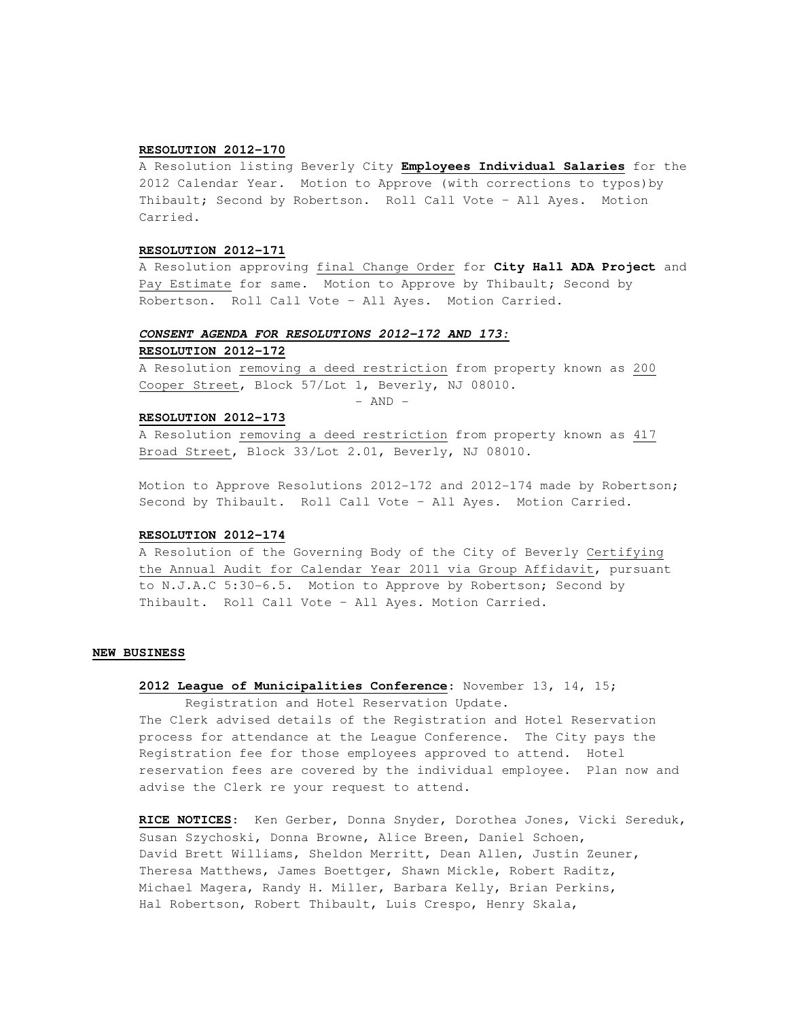## **RESOLUTION 2012-170**

A Resolution listing Beverly City **Employees Individual Salaries** for the 2012 Calendar Year. Motion to Approve (with corrections to typos)by Thibault; Second by Robertson. Roll Call Vote – All Ayes. Motion Carried.

## **RESOLUTION 2012-171**

A Resolution approving final Change Order for **City Hall ADA Project** and Pay Estimate for same. Motion to Approve by Thibault; Second by Robertson. Roll Call Vote – All Ayes. Motion Carried.

## **CONSENT AGENDA FOR RESOLUTIONS 2012-172 AND 173:**

## **RESOLUTION 2012-172**

A Resolution removing a deed restriction from property known as 200 Cooper Street, Block 57/Lot 1, Beverly, NJ 08010.

 $-$  AND  $-$ 

### **RESOLUTION 2012-173**

A Resolution removing a deed restriction from property known as 417 Broad Street, Block 33/Lot 2.01, Beverly, NJ 08010.

Motion to Approve Resolutions 2012-172 and 2012-174 made by Robertson; Second by Thibault. Roll Call Vote – All Ayes. Motion Carried.

#### **RESOLUTION 2012-174**

A Resolution of the Governing Body of the City of Beverly Certifying the Annual Audit for Calendar Year 2011 via Group Affidavit, pursuant to N.J.A.C 5:30-6.5. Motion to Approve by Robertson; Second by Thibault. Roll Call Vote – All Ayes. Motion Carried.

### **NEW BUSINESS**

## **2012 League of Municipalities Conference**: November 13, 14, 15;

 Registration and Hotel Reservation Update. The Clerk advised details of the Registration and Hotel Reservation process for attendance at the League Conference. The City pays the Registration fee for those employees approved to attend. Hotel reservation fees are covered by the individual employee. Plan now and advise the Clerk re your request to attend.

**RICE NOTICES**: Ken Gerber, Donna Snyder, Dorothea Jones, Vicki Sereduk, Susan Szychoski, Donna Browne, Alice Breen, Daniel Schoen, David Brett Williams, Sheldon Merritt, Dean Allen, Justin Zeuner, Theresa Matthews, James Boettger, Shawn Mickle, Robert Raditz, Michael Magera, Randy H. Miller, Barbara Kelly, Brian Perkins, Hal Robertson, Robert Thibault, Luis Crespo, Henry Skala,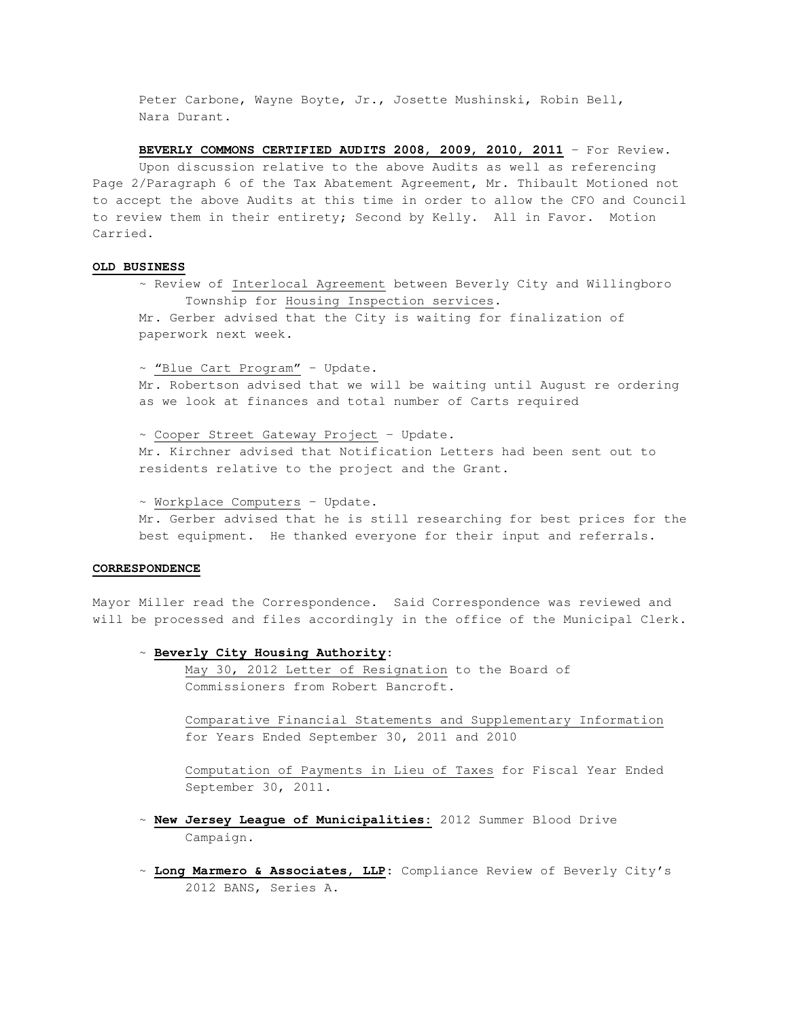Peter Carbone, Wayne Boyte, Jr., Josette Mushinski, Robin Bell, Nara Durant.

**BEVERLY COMMONS CERTIFIED AUDITS 2008, 2009, 2010, 2011** – For Review.

 Upon discussion relative to the above Audits as well as referencing Page 2/Paragraph 6 of the Tax Abatement Agreement, Mr. Thibault Motioned not to accept the above Audits at this time in order to allow the CFO and Council to review them in their entirety; Second by Kelly. All in Favor. Motion Carried.

### **OLD BUSINESS**

 ~ Review of Interlocal Agreement between Beverly City and Willingboro Township for Housing Inspection services. Mr. Gerber advised that the City is waiting for finalization of paperwork next week.

 ~ "Blue Cart Program" – Update. Mr. Robertson advised that we will be waiting until August re ordering as we look at finances and total number of Carts required

 ~ Cooper Street Gateway Project – Update. Mr. Kirchner advised that Notification Letters had been sent out to residents relative to the project and the Grant.

 ~ Workplace Computers – Update. Mr. Gerber advised that he is still researching for best prices for the best equipment. He thanked everyone for their input and referrals.

#### **CORRESPONDENCE**

Mayor Miller read the Correspondence. Said Correspondence was reviewed and will be processed and files accordingly in the office of the Municipal Clerk.

### ~ **Beverly City Housing Authority:**

 May 30, 2012 Letter of Resignation to the Board of Commissioners from Robert Bancroft.

 Comparative Financial Statements and Supplementary Information for Years Ended September 30, 2011 and 2010

 Computation of Payments in Lieu of Taxes for Fiscal Year Ended September 30, 2011.

- ~ **New Jersey League of Municipalities:** 2012 Summer Blood Drive Campaign.
- ~ **Long Marmero & Associates, LLP:** Compliance Review of Beverly City's 2012 BANS, Series A.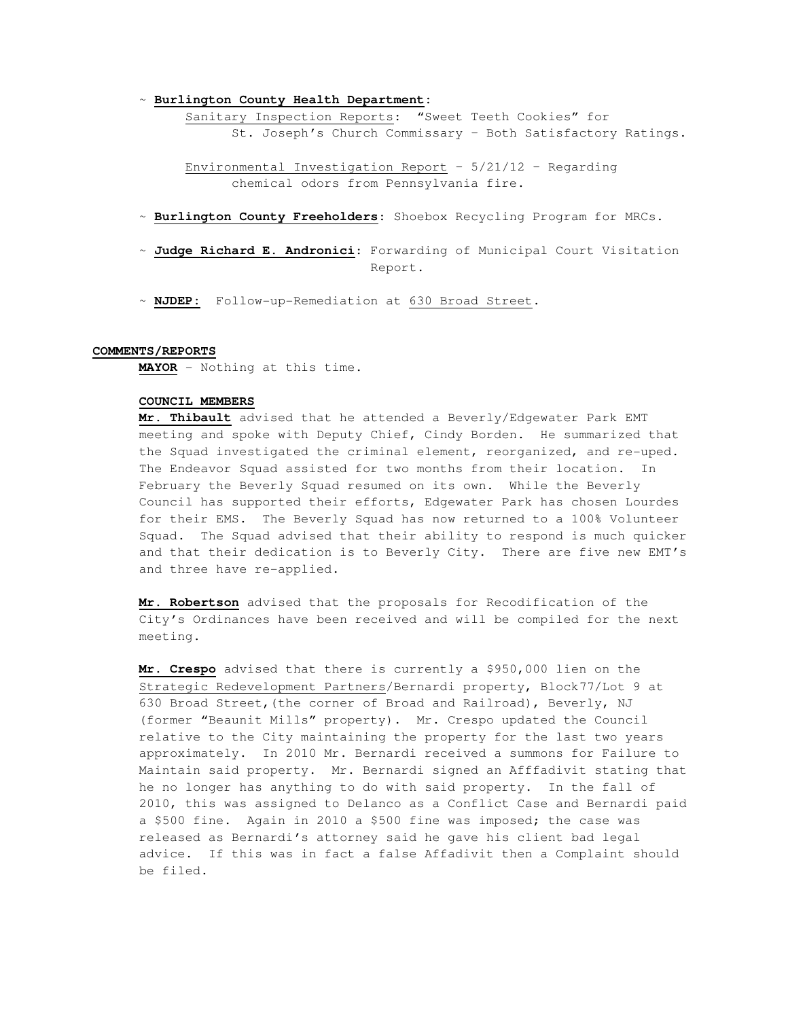~ **Burlington County Health Department:** 

 Sanitary Inspection Reports: "Sweet Teeth Cookies" for St. Joseph's Church Commissary – Both Satisfactory Ratings.

 Environmental Investigation Report – 5/21/12 – Regarding chemical odors from Pennsylvania fire.

- ~ **Burlington County Freeholders**: Shoebox Recycling Program for MRCs.
- ~ **Judge Richard E. Andronici**: Forwarding of Municipal Court Visitation Report.
- ~ **NJDEP:** Follow-up-Remediation at 630 Broad Street.

## **COMMENTS/REPORTS**

**MAYOR** - Nothing at this time.

## **COUNCIL MEMBERS**

**Mr. Thibault** advised that he attended a Beverly/Edgewater Park EMT meeting and spoke with Deputy Chief, Cindy Borden. He summarized that the Squad investigated the criminal element, reorganized, and re-uped. The Endeavor Squad assisted for two months from their location. In February the Beverly Squad resumed on its own. While the Beverly Council has supported their efforts, Edgewater Park has chosen Lourdes for their EMS. The Beverly Squad has now returned to a 100% Volunteer Squad. The Squad advised that their ability to respond is much quicker and that their dedication is to Beverly City. There are five new EMT's and three have re-applied.

**Mr. Robertson** advised that the proposals for Recodification of the City's Ordinances have been received and will be compiled for the next meeting.

**Mr. Crespo** advised that there is currently a \$950,000 lien on the Strategic Redevelopment Partners/Bernardi property, Block77/Lot 9 at 630 Broad Street,(the corner of Broad and Railroad), Beverly, NJ (former "Beaunit Mills" property). Mr. Crespo updated the Council relative to the City maintaining the property for the last two years approximately. In 2010 Mr. Bernardi received a summons for Failure to Maintain said property. Mr. Bernardi signed an Afffadivit stating that he no longer has anything to do with said property. In the fall of 2010, this was assigned to Delanco as a Conflict Case and Bernardi paid a \$500 fine. Again in 2010 a \$500 fine was imposed; the case was released as Bernardi's attorney said he gave his client bad legal advice. If this was in fact a false Affadivit then a Complaint should be filed.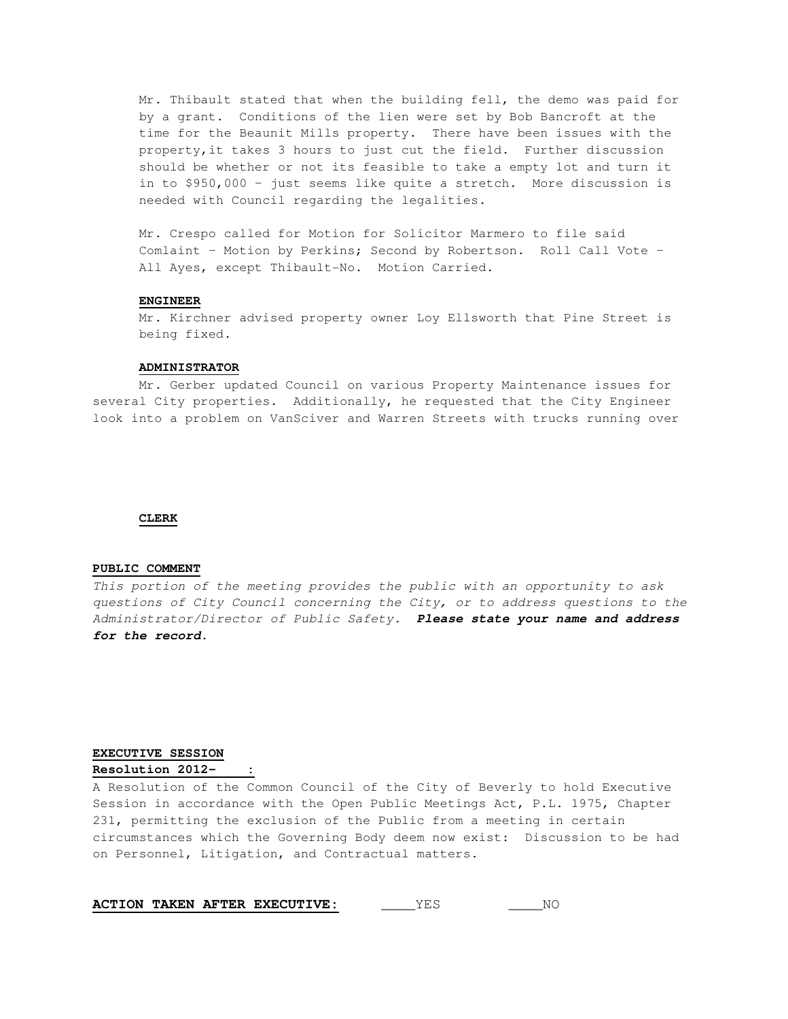Mr. Thibault stated that when the building fell, the demo was paid for by a grant. Conditions of the lien were set by Bob Bancroft at the time for the Beaunit Mills property. There have been issues with the property,it takes 3 hours to just cut the field. Further discussion should be whether or not its feasible to take a empty lot and turn it in to \$950,000 – just seems like quite a stretch. More discussion is needed with Council regarding the legalities.

Mr. Crespo called for Motion for Solicitor Marmero to file said Comlaint – Motion by Perkins; Second by Robertson. Roll Call Vote – All Ayes, except Thibault-No. Motion Carried.

#### **ENGINEER**

 Mr. Kirchner advised property owner Loy Ellsworth that Pine Street is being fixed.

## **ADMINISTRATOR**

 Mr. Gerber updated Council on various Property Maintenance issues for several City properties. Additionally, he requested that the City Engineer look into a problem on VanSciver and Warren Streets with trucks running over

### **CLERK**

#### **PUBLIC COMMENT**

This portion of the meeting provides the public with an opportunity to ask questions of City Council concerning the City, or to address questions to the Administrator/Director of Public Safety. **Please state your name and address for the record.** 

## **EXECUTIVE SESSION**

## **Resolution 2012- :**

A Resolution of the Common Council of the City of Beverly to hold Executive Session in accordance with the Open Public Meetings Act, P.L. 1975, Chapter 231, permitting the exclusion of the Public from a meeting in certain circumstances which the Governing Body deem now exist: Discussion to be had on Personnel, Litigation, and Contractual matters.

|  |  |  | <b>ACTION TAKEN AFTER EXECUTIVE:</b> |  | NC |
|--|--|--|--------------------------------------|--|----|
|--|--|--|--------------------------------------|--|----|